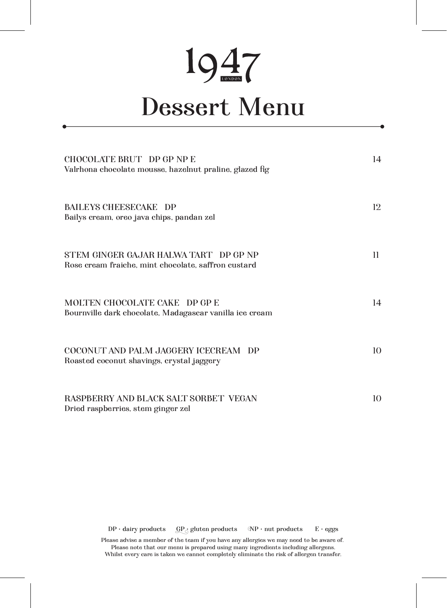## 1947

## Dessert Menu

| CHOCOLATE BRUT DP GP NP E<br>Valrhona chocolate mousse, hazelnut praline, glazed fig         | 14              |
|----------------------------------------------------------------------------------------------|-----------------|
| <b>BAILEYS CHEESECAKE DP</b><br>Bailys cream, oreo java chips, pandan zel                    | 12.             |
| STEM GINGER GAJAR HALWA TART DP GP NP<br>Rose cream fraiche, mint chocolate, saffron custard | 11              |
| MOLTEN CHOCOLATE CAKE DP GP E<br>Bournville dark chocolate, Madagascar vanilla ice cream     | 14              |
| COCONUT AND PALM JAGGERY ICECREAM DP<br>Roasted coconut shavings, crystal jaggery            | 10 <sup>2</sup> |
| <b>RASPBERRY AND BLACK SALT SORBET VEGAN</b><br>Dried raspberries, stem ginger zel           | 10              |

 $DP \cdot$  dairy products  $QP \cdot$  gluten products  $NP \cdot$  nut products  $E \cdot$  eggs

Please advise a member of the team if you have any allergies we may need to be aware of. Please note that our menu is prepared using many ingredients including allergens. Whilst every care is taken we cannot completely eliminate the risk of allergen transfer.